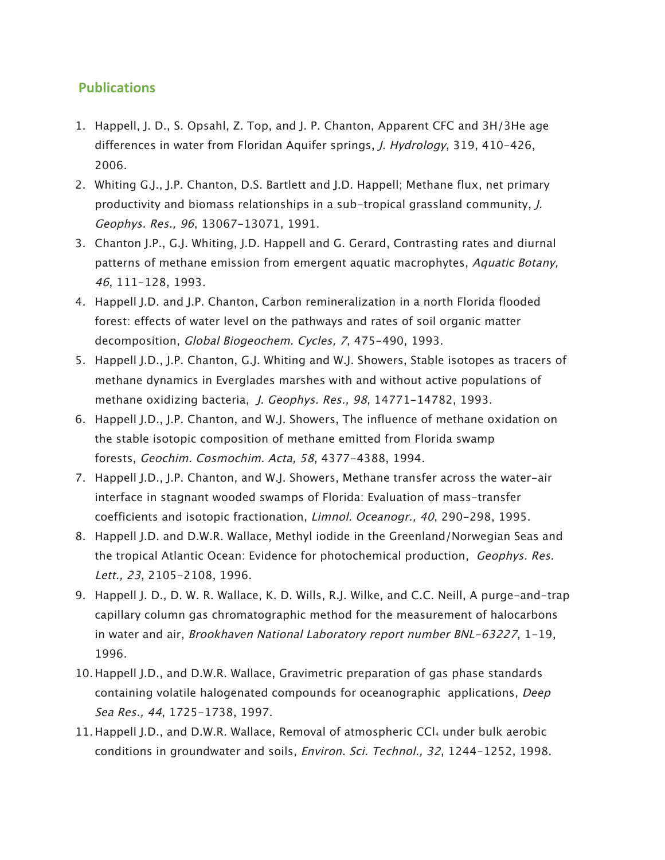## **Publications**

- 1. Happell, J. D., S. Opsahl, Z. Top, and J. P. Chanton, Apparent CFC and 3H/3He age differences in water from Floridan Aquifer springs, *J. Hydrology*, 319, 410-426, 2006.
- 2. Whiting G.J., J.P. Chanton, D.S. Bartlett and J.D. Happell; Methane flux, net primary productivity and biomass relationships in a sub-tropical grassland community, J. Geophys. Res., 96, 13067-13071, 1991.
- 3. Chanton J.P., G.J. Whiting, J.D. Happell and G. Gerard, Contrasting rates and diurnal patterns of methane emission from emergent aquatic macrophytes, Aquatic Botany, 46, 111-128, 1993.
- 4. Happell J.D. and J.P. Chanton, Carbon remineralization in a north Florida flooded forest: effects of water level on the pathways and rates of soil organic matter decomposition, Global Biogeochem. Cycles, 7, 475-490, 1993.
- 5. Happell J.D., J.P. Chanton, G.J. Whiting and W.J. Showers, Stable isotopes as tracers of methane dynamics in Everglades marshes with and without active populations of methane oxidizing bacteria, J. Geophys. Res., 98, 14771-14782, 1993.
- 6. Happell J.D., J.P. Chanton, and W.J. Showers, The influence of methane oxidation on the stable isotopic composition of methane emitted from Florida swamp forests, Geochim. Cosmochim. Acta, 58, 4377-4388, 1994.
- 7. Happell J.D., J.P. Chanton, and W.J. Showers, Methane transfer across the water-air interface in stagnant wooded swamps of Florida: Evaluation of mass-transfer coefficients and isotopic fractionation, Limnol. Oceanogr., 40, 290-298, 1995.
- 8. Happell J.D. and D.W.R. Wallace, Methyl iodide in the Greenland/Norwegian Seas and the tropical Atlantic Ocean: Evidence for photochemical production, Geophys. Res. Lett., 23, 2105-2108, 1996.
- 9. Happell J. D., D. W. R. Wallace, K. D. Wills, R.J. Wilke, and C.C. Neill, A purge-and-trap capillary column gas chromatographic method for the measurement of halocarbons in water and air, Brookhaven National Laboratory report number BNL-63227, 1-19, 1996.
- 10.Happell J.D., and D.W.R. Wallace, Gravimetric preparation of gas phase standards containing volatile halogenated compounds for oceanographic applications, Deep Sea Res., 44, 1725-1738, 1997.
- 11. Happell J.D., and D.W.R. Wallace, Removal of atmospheric  $CCl<sub>4</sub>$  under bulk aerobic conditions in groundwater and soils, Environ. Sci. Technol., 32, 1244-1252, 1998.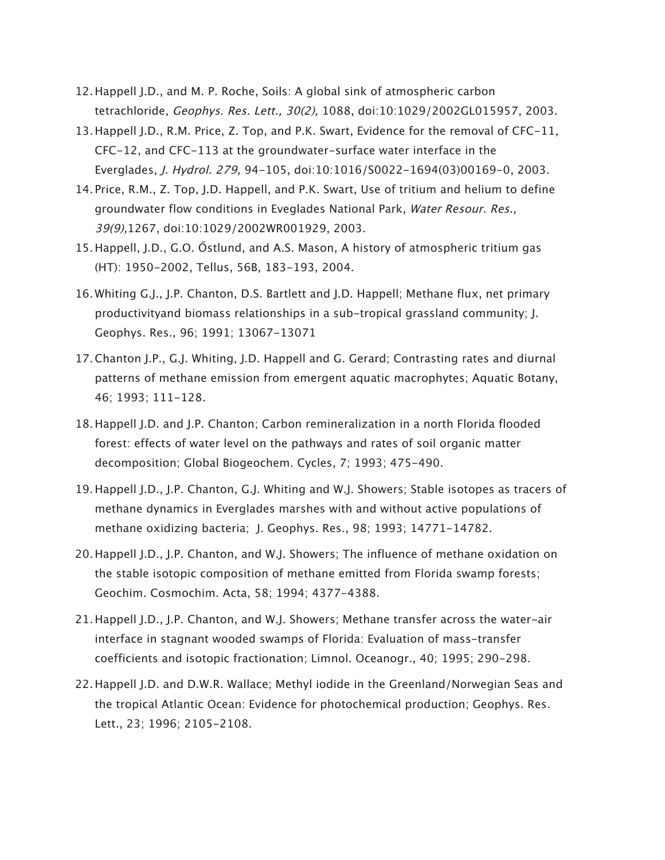- 12.Happell J.D., and M. P. Roche, Soils: A global sink of atmospheric carbon tetrachloride, Geophys. Res. Lett., 30(2), 1088, doi:10:1029/2002GL015957, 2003.
- 13.Happell J.D., R.M. Price, Z. Top, and P.K. Swart, Evidence for the removal of CFC-11, CFC-12, and CFC-113 at the groundwater-surface water interface in the Everglades, J. Hydrol. 279, 94-105, doi:10:1016/S0022-1694(03)00169-0, 2003.
- 14. Price, R.M., Z. Top, J.D. Happell, and P.K. Swart, Use of tritium and helium to define groundwater flow conditions in Eveglades National Park, Water Resour. Res., 39(9),1267, doi:10:1029/2002WR001929, 2003.
- 15.Happell, J.D., G.O. Őstlund, and A.S. Mason, A history of atmospheric tritium gas (HT): 1950-2002, Tellus, 56B, 183-193, 2004.
- 16.Whiting G.J., J.P. Chanton, D.S. Bartlett and J.D. Happell; Methane flux, net primary productivityand biomass relationships in a sub-tropical grassland community; J. Geophys. Res., 96; 1991; 13067-13071
- 17.Chanton J.P., G.J. Whiting, J.D. Happell and G. Gerard; Contrasting rates and diurnal patterns of methane emission from emergent aquatic macrophytes; Aquatic Botany, 46; 1993; 111-128.
- 18.Happell J.D. and J.P. Chanton; Carbon remineralization in a north Florida flooded forest: effects of water level on the pathways and rates of soil organic matter decomposition; Global Biogeochem. Cycles, 7; 1993; 475-490.
- 19.Happell J.D., J.P. Chanton, G.J. Whiting and W.J. Showers; Stable isotopes as tracers of methane dynamics in Everglades marshes with and without active populations of methane oxidizing bacteria; J. Geophys. Res., 98; 1993; 14771-14782.
- 20.Happell J.D., J.P. Chanton, and W.J. Showers; The influence of methane oxidation on the stable isotopic composition of methane emitted from Florida swamp forests; Geochim. Cosmochim. Acta, 58; 1994; 4377-4388.
- 21.Happell J.D., J.P. Chanton, and W.J. Showers; Methane transfer across the water-air interface in stagnant wooded swamps of Florida: Evaluation of mass-transfer coefficients and isotopic fractionation; Limnol. Oceanogr., 40; 1995; 290-298.
- 22.Happell J.D. and D.W.R. Wallace; Methyl iodide in the Greenland/Norwegian Seas and the tropical Atlantic Ocean: Evidence for photochemical production; Geophys. Res. Lett., 23; 1996; 2105-2108.